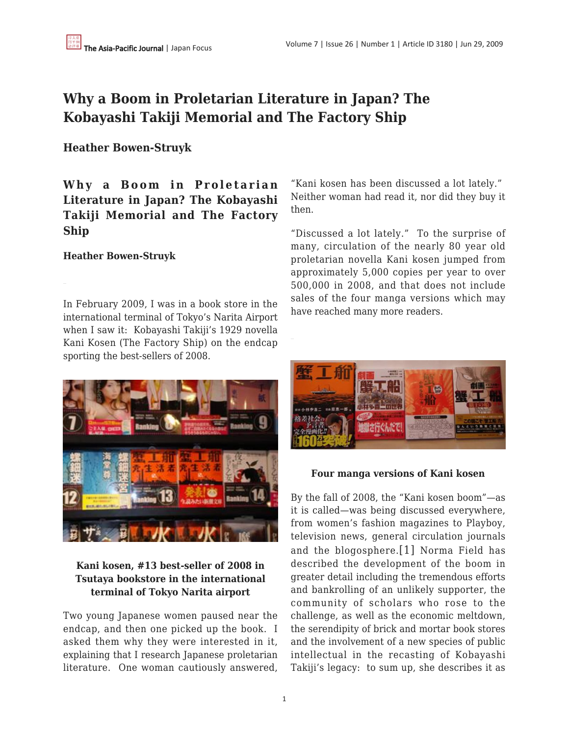# **Why a Boom in Proletarian Literature in Japan? The Kobayashi Takiji Memorial and The Factory Ship**

## **Heather Bowen-Struyk**

**Why a Boom in Proletarian Literature in Japan? The Kobayashi Takiji Memorial and The Factory Ship**

### **Heather Bowen-Struyk**

In February 2009, I was in a book store in the international terminal of Tokyo's Narita Airport when I saw it: Kobayashi Takiji's 1929 novella Kani Kosen (The Factory Ship) on the endcap sporting the best-sellers of 2008.



## **Kani kosen, #13 best-seller of 2008 in Tsutaya bookstore in the international terminal of Tokyo Narita airport**

Two young Japanese women paused near the endcap, and then one picked up the book. I asked them why they were interested in it, explaining that I research Japanese proletarian literature. One woman cautiously answered,

"Kani kosen has been discussed a lot lately." Neither woman had read it, nor did they buy it then.

"Discussed a lot lately." To the surprise of many, circulation of the nearly 80 year old proletarian novella Kani kosen jumped from approximately 5,000 copies per year to over 500,000 in 2008, and that does not include sales of the four manga versions which may have reached many more readers.



#### **Four manga versions of Kani kosen**

By the fall of 2008, the "Kani kosen boom"—as it is called—was being discussed everywhere, from women's fashion magazines to Playboy, television news, general circulation journals and the blogosphere.[1] Norma Field has described the development of the boom in greater detail including the tremendous efforts and bankrolling of an unlikely supporter, the community of scholars who rose to the challenge, as well as the economic meltdown, the serendipity of brick and mortar book stores and the involvement of a new species of public intellectual in the recasting of Kobayashi Takiji's legacy: to sum up, she describes it as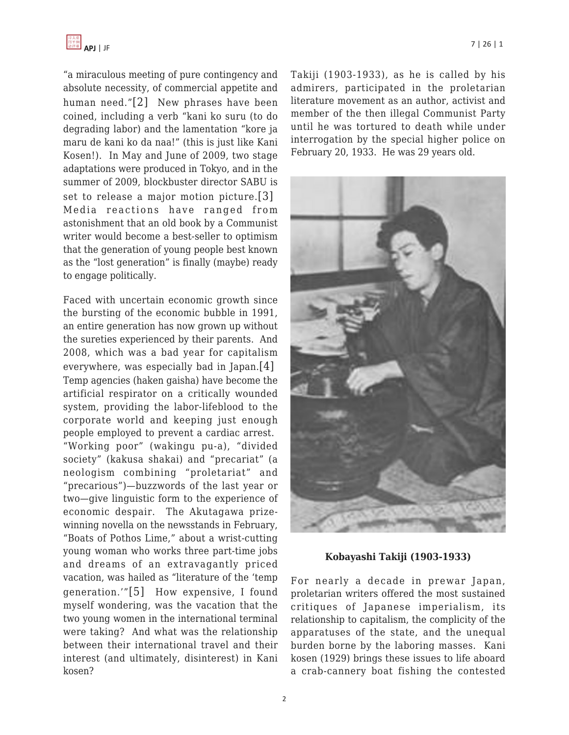

"a miraculous meeting of pure contingency and absolute necessity, of commercial appetite and human need."[2] New phrases have been coined, including a verb "kani ko suru (to do degrading labor) and the lamentation "kore ja maru de kani ko da naa!" (this is just like Kani Kosen!). In May and June of 2009, two stage adaptations were produced in Tokyo, and in the summer of 2009, blockbuster director SABU is set to release a major motion picture.[3] Media reactions have ranged from astonishment that an old book by a Communist writer would become a best-seller to optimism that the generation of young people best known as the "lost generation" is finally (maybe) ready to engage politically.

Faced with uncertain economic growth since the bursting of the economic bubble in 1991, an entire generation has now grown up without the sureties experienced by their parents. And 2008, which was a bad year for capitalism everywhere, was especially bad in Japan.[4] Temp agencies (haken gaisha) have become the artificial respirator on a critically wounded system, providing the labor-lifeblood to the corporate world and keeping just enough people employed to prevent a cardiac arrest. "Working poor" (wakingu pu-a), "divided society" (kakusa shakai) and "precariat" (a neologism combining "proletariat" and "precarious")—buzzwords of the last year or two—give linguistic form to the experience of economic despair. The Akutagawa prizewinning novella on the newsstands in February, "Boats of Pothos Lime," about a wrist-cutting young woman who works three part-time jobs and dreams of an extravagantly priced vacation, was hailed as "literature of the 'temp generation.'"[5] How expensive, I found myself wondering, was the vacation that the two young women in the international terminal were taking? And what was the relationship between their international travel and their interest (and ultimately, disinterest) in Kani kosen?

Takiji (1903-1933), as he is called by his admirers, participated in the proletarian literature movement as an author, activist and member of the then illegal Communist Party until he was tortured to death while under interrogation by the special higher police on February 20, 1933. He was 29 years old.



**Kobayashi Takiji (1903-1933)**

For nearly a decade in prewar Japan, proletarian writers offered the most sustained critiques of Japanese imperialism, its relationship to capitalism, the complicity of the apparatuses of the state, and the unequal burden borne by the laboring masses. Kani kosen (1929) brings these issues to life aboard a crab-cannery boat fishing the contested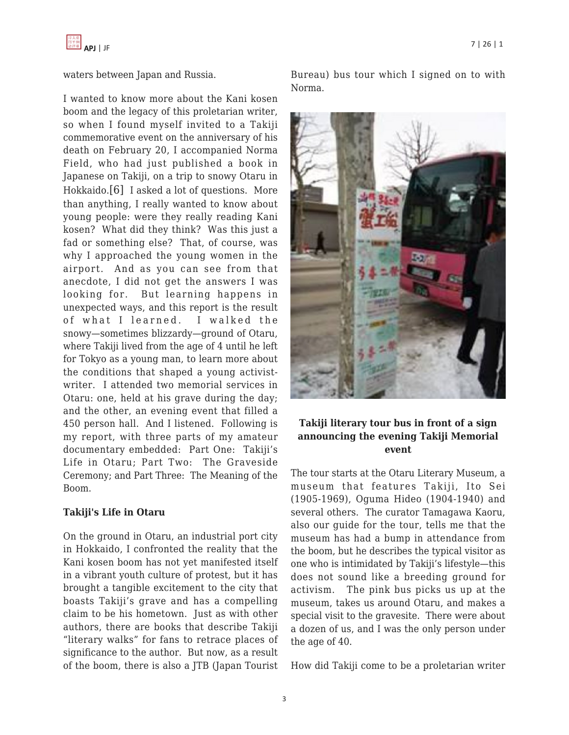

waters between Japan and Russia.

I wanted to know more about the Kani kosen boom and the legacy of this proletarian writer, so when I found myself invited to a Takiji commemorative event on the anniversary of his death on February 20, I accompanied Norma Field, who had just published a book in Japanese on Takiji, on a trip to snowy Otaru in Hokkaido.[6] I asked a lot of questions. More than anything, I really wanted to know about young people: were they really reading Kani kosen? What did they think? Was this just a fad or something else? That, of course, was why I approached the young women in the airport. And as you can see from that anecdote, I did not get the answers I was looking for. But learning happens in unexpected ways, and this report is the result of what I learned. I walked the snowy—sometimes blizzardy—ground of Otaru, where Takiji lived from the age of 4 until he left for Tokyo as a young man, to learn more about the conditions that shaped a young activistwriter. I attended two memorial services in Otaru: one, held at his grave during the day; and the other, an evening event that filled a 450 person hall. And I listened. Following is my report, with three parts of my amateur documentary embedded: Part One: Takiji's Life in Otaru; Part Two: The Graveside Ceremony; and Part Three: The Meaning of the Boom.

#### **Takiji's Life in Otaru**

On the ground in Otaru, an industrial port city in Hokkaido, I confronted the reality that the Kani kosen boom has not yet manifested itself in a vibrant youth culture of protest, but it has brought a tangible excitement to the city that boasts Takiji's grave and has a compelling claim to be his hometown. Just as with other authors, there are books that describe Takiji "literary walks" for fans to retrace places of significance to the author. But now, as a result of the boom, there is also a JTB (Japan Tourist



## **Takiji literary tour bus in front of a sign announcing the evening Takiji Memorial event**

The tour starts at the Otaru Literary Museum, a museum that features Takiji, Ito Sei (1905-1969), Oguma Hideo (1904-1940) and several others. The curator Tamagawa Kaoru, also our guide for the tour, tells me that the museum has had a bump in attendance from the boom, but he describes the typical visitor as one who is intimidated by Takiji's lifestyle—this does not sound like a breeding ground for activism. The pink bus picks us up at the museum, takes us around Otaru, and makes a special visit to the gravesite. There were about a dozen of us, and I was the only person under the age of 40.

How did Takiji come to be a proletarian writer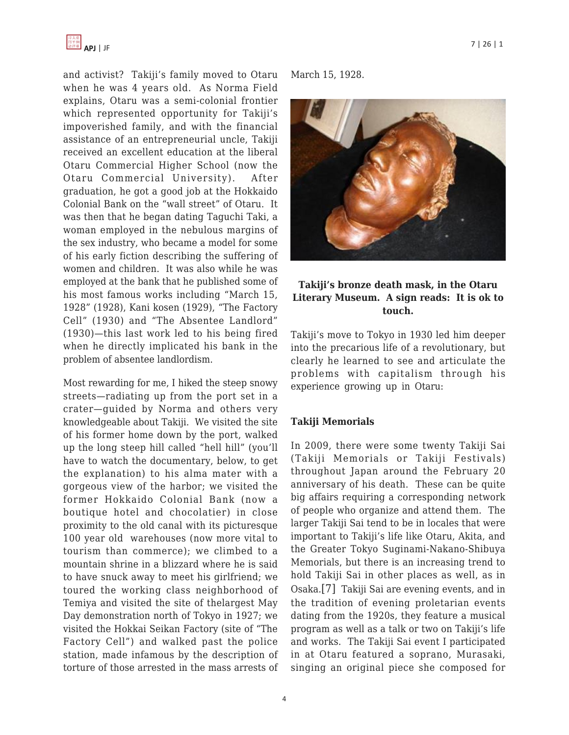

and activist? Takiji's family moved to Otaru when he was 4 years old. As Norma Field explains, Otaru was a semi-colonial frontier which represented opportunity for Takiji's impoverished family, and with the financial assistance of an entrepreneurial uncle, Takiji received an excellent education at the liberal Otaru Commercial Higher School (now the Otaru Commercial University). After graduation, he got a good job at the Hokkaido Colonial Bank on the "wall street" of Otaru. It was then that he began dating Taguchi Taki, a woman employed in the nebulous margins of the sex industry, who became a model for some of his early fiction describing the suffering of women and children. It was also while he was employed at the bank that he published some of his most famous works including "March 15, 1928" (1928), Kani kosen (1929), "The Factory Cell" (1930) and "The Absentee Landlord" (1930)—this last work led to his being fired when he directly implicated his bank in the problem of absentee landlordism.

Most rewarding for me, I hiked the steep snowy streets—radiating up from the port set in a crater—guided by Norma and others very knowledgeable about Takiji. We visited the site of his former home down by the port, walked up the long steep hill called "hell hill" (you'll have to watch the documentary, below, to get the explanation) to his alma mater with a gorgeous view of the harbor; we visited the former Hokkaido Colonial Bank (now a boutique hotel and chocolatier) in close proximity to the old canal with its picturesque 100 year old warehouses (now more vital to tourism than commerce); we climbed to a mountain shrine in a blizzard where he is said to have snuck away to meet his girlfriend; we toured the working class neighborhood of Temiya and visited the site of thelargest May Day demonstration north of Tokyo in 1927; we visited the Hokkai Seikan Factory (site of "The Factory Cell") and walked past the police station, made infamous by the description of torture of those arrested in the mass arrests of March 15, 1928.



### **Takiji's bronze death mask, in the Otaru Literary Museum. A sign reads: It is ok to touch.**

Takiji's move to Tokyo in 1930 led him deeper into the precarious life of a revolutionary, but clearly he learned to see and articulate the problems with capitalism through his experience growing up in Otaru:

#### **Takiji Memorials**

In 2009, there were some twenty Takiji Sai (Takiji Memorials or Takiji Festivals) throughout Japan around the February 20 anniversary of his death. These can be quite big affairs requiring a corresponding network of people who organize and attend them. The larger Takiji Sai tend to be in locales that were important to Takiji's life like Otaru, Akita, and the Greater Tokyo Suginami-Nakano-Shibuya Memorials, but there is an increasing trend to hold Takiji Sai in other places as well, as in Osaka.[7] Takiji Sai are evening events, and in the tradition of evening proletarian events dating from the 1920s, they feature a musical program as well as a talk or two on Takiji's life and works. The Takiji Sai event I participated in at Otaru featured a soprano, Murasaki, singing an original piece she composed for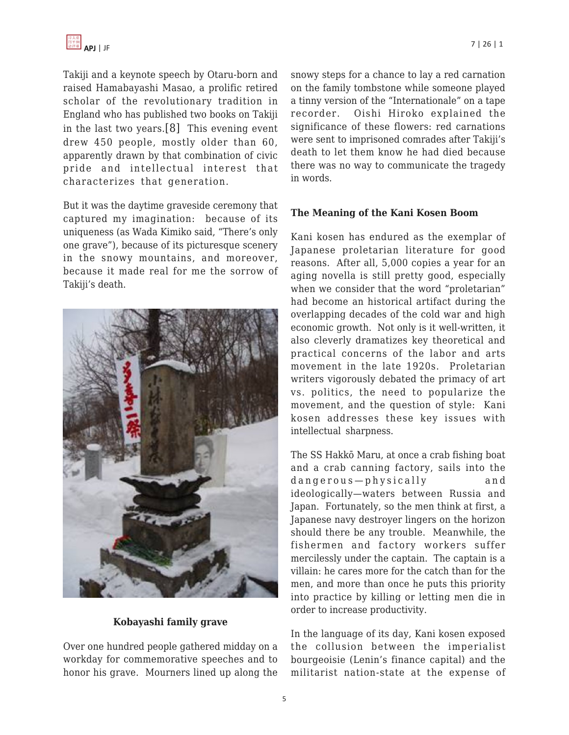Takiji and a keynote speech by Otaru-born and raised Hamabayashi Masao, a prolific retired scholar of the revolutionary tradition in England who has published two books on Takiji in the last two years.[8] This evening event drew 450 people, mostly older than 60, apparently drawn by that combination of civic pride and intellectual interest that characterizes that generation.

But it was the daytime graveside ceremony that captured my imagination: because of its uniqueness (as Wada Kimiko said, "There's only one grave"), because of its picturesque scenery in the snowy mountains, and moreover, because it made real for me the sorrow of Takiji's death.



#### **Kobayashi family grave**

Over one hundred people gathered midday on a workday for commemorative speeches and to honor his grave. Mourners lined up along the snowy steps for a chance to lay a red carnation on the family tombstone while someone played a tinny version of the "Internationale" on a tape recorder. Oishi Hiroko explained the significance of these flowers: red carnations were sent to imprisoned comrades after Takiji's death to let them know he had died because there was no way to communicate the tragedy in words.

#### **The Meaning of the Kani Kosen Boom**

Kani kosen has endured as the exemplar of Japanese proletarian literature for good reasons. After all, 5,000 copies a year for an aging novella is still pretty good, especially when we consider that the word "proletarian" had become an historical artifact during the overlapping decades of the cold war and high economic growth. Not only is it well-written, it also cleverly dramatizes key theoretical and practical concerns of the labor and arts movement in the late 1920s. Proletarian writers vigorously debated the primacy of art vs. politics, the need to popularize the movement, and the question of style: Kani kosen addresses these key issues with intellectual sharpness.

The SS Hakkō Maru, at once a crab fishing boat and a crab canning factory, sails into the dangerous—physically and ideologically—waters between Russia and Japan. Fortunately, so the men think at first, a Japanese navy destroyer lingers on the horizon should there be any trouble. Meanwhile, the fishermen and factory workers suffer mercilessly under the captain. The captain is a villain: he cares more for the catch than for the men, and more than once he puts this priority into practice by killing or letting men die in order to increase productivity.

In the language of its day, Kani kosen exposed the collusion between the imperialist bourgeoisie (Lenin's finance capital) and the militarist nation-state at the expense of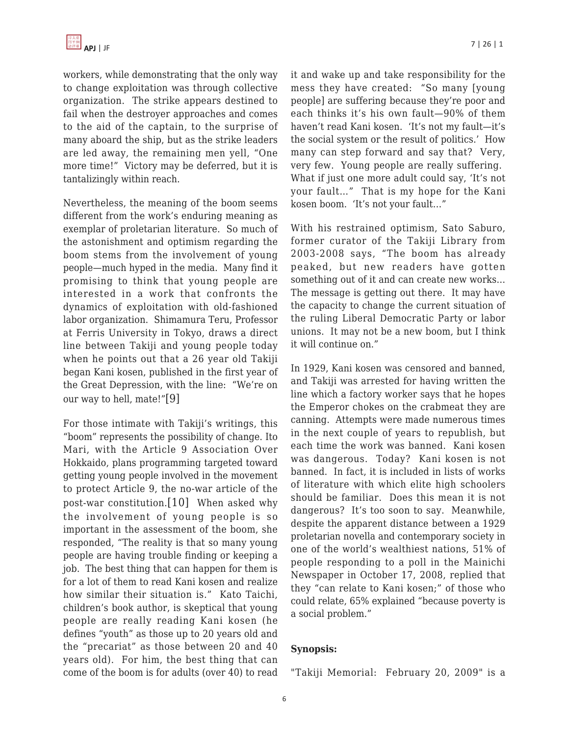workers, while demonstrating that the only way to change exploitation was through collective organization. The strike appears destined to fail when the destroyer approaches and comes to the aid of the captain, to the surprise of many aboard the ship, but as the strike leaders are led away, the remaining men yell, "One more time!" Victory may be deferred, but it is tantalizingly within reach.

Nevertheless, the meaning of the boom seems different from the work's enduring meaning as exemplar of proletarian literature. So much of the astonishment and optimism regarding the boom stems from the involvement of young people—much hyped in the media. Many find it promising to think that young people are interested in a work that confronts the dynamics of exploitation with old-fashioned labor organization. Shimamura Teru, Professor at Ferris University in Tokyo, draws a direct line between Takiji and young people today when he points out that a 26 year old Takiji began Kani kosen, published in the first year of the Great Depression, with the line: "We're on our way to hell, mate!"[9]

For those intimate with Takiji's writings, this "boom" represents the possibility of change. Ito Mari, with the Article 9 Association Over Hokkaido, plans programming targeted toward getting young people involved in the movement to protect Article 9, the no-war article of the post-war constitution.[10] When asked why the involvement of young people is so important in the assessment of the boom, she responded, "The reality is that so many young people are having trouble finding or keeping a job. The best thing that can happen for them is for a lot of them to read Kani kosen and realize how similar their situation is." Kato Taichi, children's book author, is skeptical that young people are really reading Kani kosen (he defines "youth" as those up to 20 years old and the "precariat" as those between 20 and 40 years old). For him, the best thing that can come of the boom is for adults (over 40) to read it and wake up and take responsibility for the mess they have created: "So many [young people] are suffering because they're poor and each thinks it's his own fault—90% of them haven't read Kani kosen. 'It's not my fault—it's the social system or the result of politics.' How many can step forward and say that? Very, very few. Young people are really suffering. What if just one more adult could say, 'It's not your fault…" That is my hope for the Kani kosen boom. 'It's not your fault…"

With his restrained optimism, Sato Saburo, former curator of the Takiji Library from 2003-2008 says, "The boom has already peaked, but new readers have gotten something out of it and can create new works… The message is getting out there. It may have the capacity to change the current situation of the ruling Liberal Democratic Party or labor unions. It may not be a new boom, but I think it will continue on."

In 1929, Kani kosen was censored and banned, and Takiji was arrested for having written the line which a factory worker says that he hopes the Emperor chokes on the crabmeat they are canning. Attempts were made numerous times in the next couple of years to republish, but each time the work was banned. Kani kosen was dangerous. Today? Kani kosen is not banned. In fact, it is included in lists of works of literature with which elite high schoolers should be familiar. Does this mean it is not dangerous? It's too soon to say. Meanwhile, despite the apparent distance between a 1929 proletarian novella and contemporary society in one of the world's wealthiest nations, 51% of people responding to a poll in the Mainichi Newspaper in October 17, 2008, replied that they "can relate to Kani kosen;" of those who could relate, 65% explained "because poverty is a social problem."

#### **Synopsis:**

"Takiji Memorial: February 20, 2009" is a